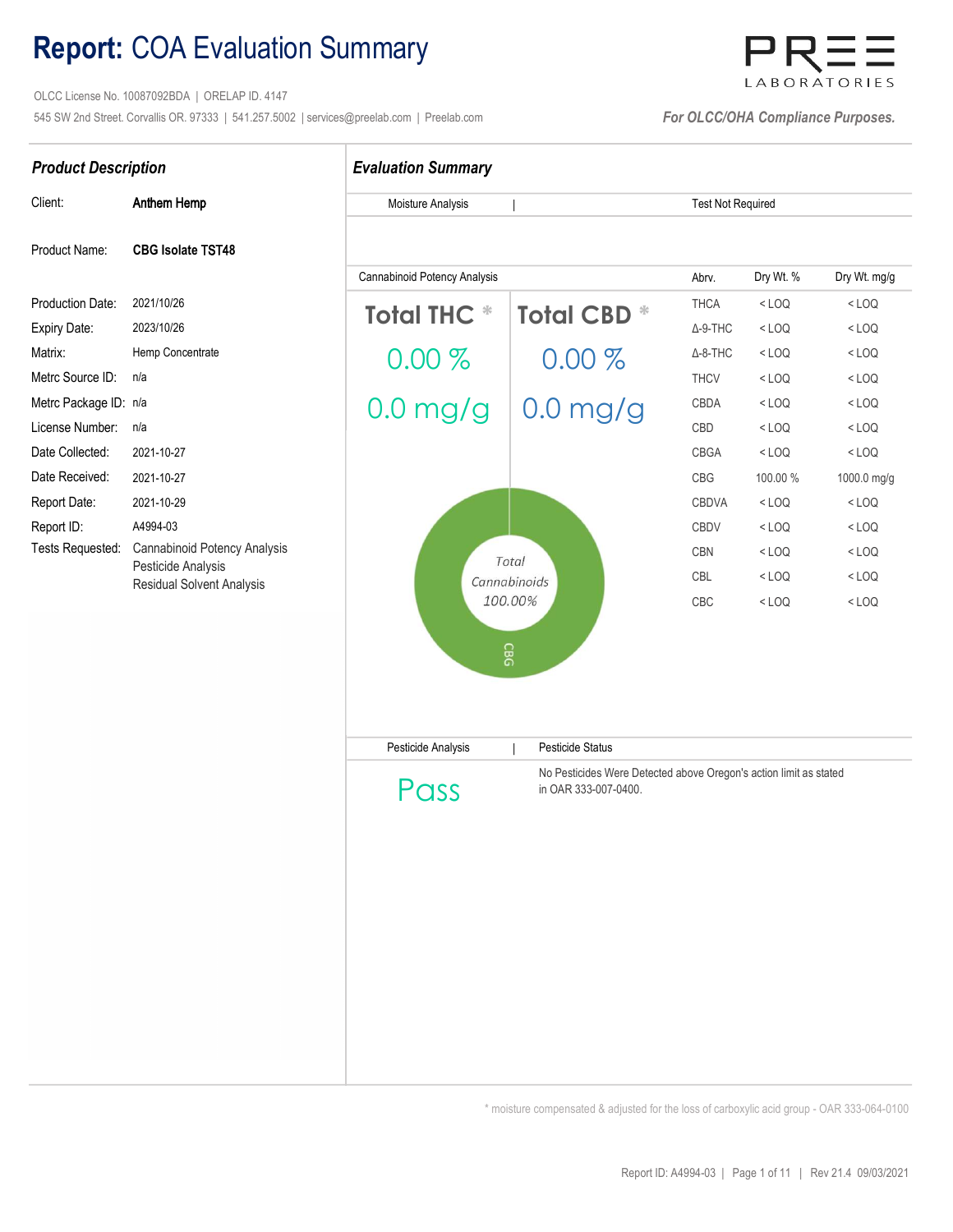## Report: COA Evaluation Summary

 OLCC License No. 10087092BDA | ORELAP ID. 4147 545 SW 2nd Street. Corvallis OR. 97333 | 541.257.5002 | services@preelab.com | Preelab.com | For CLCC/OHA Compliance Purposes.

# LABORATORIES

Test Not Required

| Client:           | Anthem Hemp                                                                            |
|-------------------|----------------------------------------------------------------------------------------|
| Product Name:     | <b>CBG Isolate TST48</b>                                                               |
| Production Date:  | 2021/10/26                                                                             |
| Expiry Date:      | 2023/10/26                                                                             |
| Matrix:           | Hemp Concentrate                                                                       |
| Metrc Source ID:  | n/a                                                                                    |
| Metrc Package ID: | n/a                                                                                    |
| License Number:   | n/a                                                                                    |
| Date Collected:   | 2021-10-27                                                                             |
| Date Received:    | 2021-10-27                                                                             |
| Report Date:      | 2021-10-29                                                                             |
| Report ID:        | A4994-03                                                                               |
| Tests Requested:  | Cannabinoid Potency Analysis<br>Pesticide Analysis<br><b>Residual Solvent Analysis</b> |

### Product Description **Evaluation Summary**

Moisture Analysis

|

Abrv. Production Date: 2021/10/26 . THCA  $\begin{array}{ccccccc}\n\text{Expiry Date:} & & 2023/10/26 & & & \text{D.} & \text{D.} & \text{A.9-THC}\n\end{array}$ Matrix: Hemp Concentrate  $0.00\%$   $0.00\%$   $0.00\%$   $0.00\%$ Metrc Source ID: n/a . The state of the state of the state of the state of the state of the state of the state of the state of the state of the state of the state of the state of the state of the state of the state of the Metrc Package ID: n/a  $\bigcap_{n=1}^{\infty}$   $\bigcap_{n=1}^{\infty}$   $\bigcap_{n=1}^{\infty}$   $\bigcap_{n=1}^{\infty}$   $\bigcap_{n=1}^{\infty}$   $\bigcap_{n=1}^{\infty}$  CBDA Metrc Package ID: n/a . CBD/  $0.0$  mg/g  $\mid 0.0$  mg/g  $\mid$   $0.0$  mg/g . CBD/  $\mid$  CBD/  $\mid$  CBD/  $\mid$  CBD Date Collected: 2021-10-27 . CBGA Date Received: 2021-10-27 . CBG Report Date: 2021-10-29 . CBDVA Report ID: A4994-03 . CBDV **CBN** in the community of the community of the community of the community of the community of the community of the community of the community of the community of the community of the community of the community of the community o CBC | Pesticide Analysis Pesticide Status < LOQ  $<$  LOQ  $<$  LOQ  $<$  LOQ  $<$  LOQ < LOQ < LOQ < LOQ < LOQ < LOQ < LOQ < LOQ < LOQ  $<$  LOQ  $<$  LOQ 100.00 % 1000.0 mg/g < LOQ < LOQ  $<$  LOQ  $<$  LOQ < LOQ < LOQ < LOQ Cannabinoid Potency Analysis Dry Wt. % Dry Wt. mg/g  $\text{Total THE} * \text{ Total CBD} * \text{ THE} * \text{ THE} * \text{ LOO} * \text{ CBO} * \text{ CBO} * \text{ CBO} * \text{ CBO} * \text{ CBO} * \text{ CBO} * \text{ CBO} * \text{ CBO} * \text{ CBO} * \text{ CBO} * \text{ CBO} * \text{ CBO} * \text{ CBO} * \text{ CBO} * \text{ CBO} * \text{ CBO} * \text{ CBO} * \text{ CBO} * \text{ CBO} * \text{ CBO} * \text{ CBO} * \text{ CBO} * \text{ CBO} * \text{ CBO} * \text{ CBO} * \text{ CBO} * \text{ CBO$ Total 100.00% CBG Isolate GVL TST48 Prim Cannabinoid Potency Analysis<br>
Marie 2021/10/26<br>
Hemp Concentrate<br>
Number: n/a<br>
Number: n/a<br>
Number: n/a<br>
Number: n/a<br>
Number: n/a<br>
2021-10-23<br>
2021-10-23<br>
2021-10-23<br>
2021-10-23<br>
2021-10-23<br>
Total C.O.O.O.O.O.O.O.O.O.O.O.O

Pass

No Pesticides Were Detected above Oregon's action limit as stated in OAR 333-007-0400.

\* moisture compensated & adjusted for the loss of carboxylic acid group - OAR 333-064-0100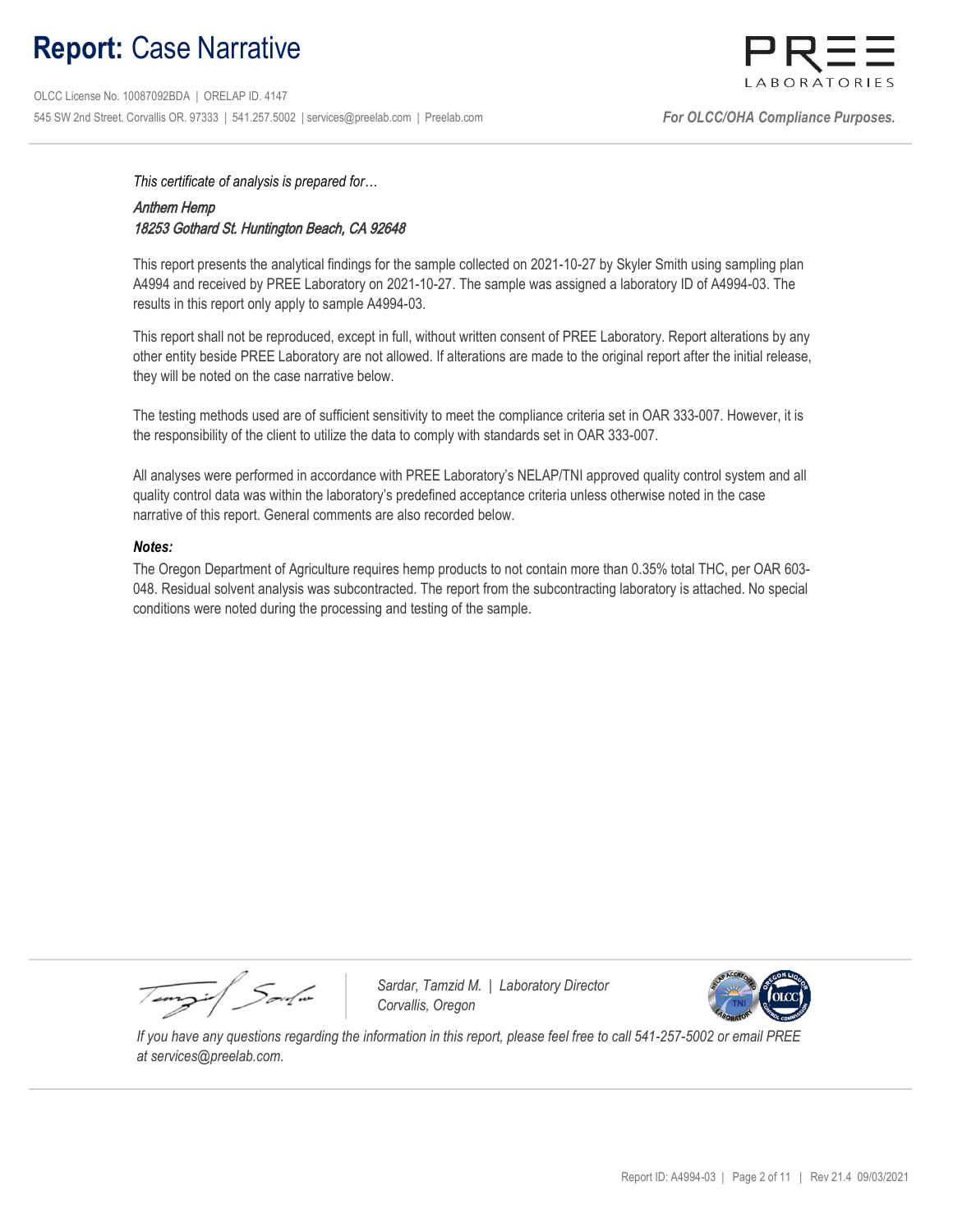## Report: Case Narrative

 OLCC License No. 10087092BDA | ORELAP ID. 4147 545 SW 2nd Street. Corvallis OR. 97333 | 541.257.5002 | services@preelab.com | Preelab.com | For CLCC/OHA Compliance Purposes.



This certificate of analysis is prepared for…

### Anthem Hemp 18253 Gothard St. Huntington Beach, CA 92648

This report presents the analytical findings for the sample collected on 2021-10-27 by Skyler Smith using sampling plan A4994 and received by PREE Laboratory on 2021-10-27. The sample was assigned a laboratory ID of A4994-03. The results in this report only apply to sample A4994-03.

This report shall not be reproduced, except in full, without written consent of PREE Laboratory. Report alterations by any other entity beside PREE Laboratory are not allowed. If alterations are made to the original report after the initial release, they will be noted on the case narrative below.

The testing methods used are of sufficient sensitivity to meet the compliance criteria set in OAR 333-007. However, it is the responsibility of the client to utilize the data to comply with standards set in OAR 333-007.

All analyses were performed in accordance with PREE Laboratory's NELAP/TNI approved quality control system and all quality control data was within the laboratory's predefined acceptance criteria unless otherwise noted in the case narrative of this report. General comments are also recorded below.

### Notes:

The Oregon Department of Agriculture requires hemp products to not contain more than 0.35% total THC, per OAR 603- 048. Residual solvent analysis was subcontracted. The report from the subcontracting laboratory is attached. No special conditions were noted during the processing and testing of the sample.

Tempi / Soulin

Sardar, Tamzid M. | Laboratory Director Corvallis, Oregon



 If you have any questions regarding the information in this report, please feel free to call 541-257-5002 or email PREE at services@preelab.com.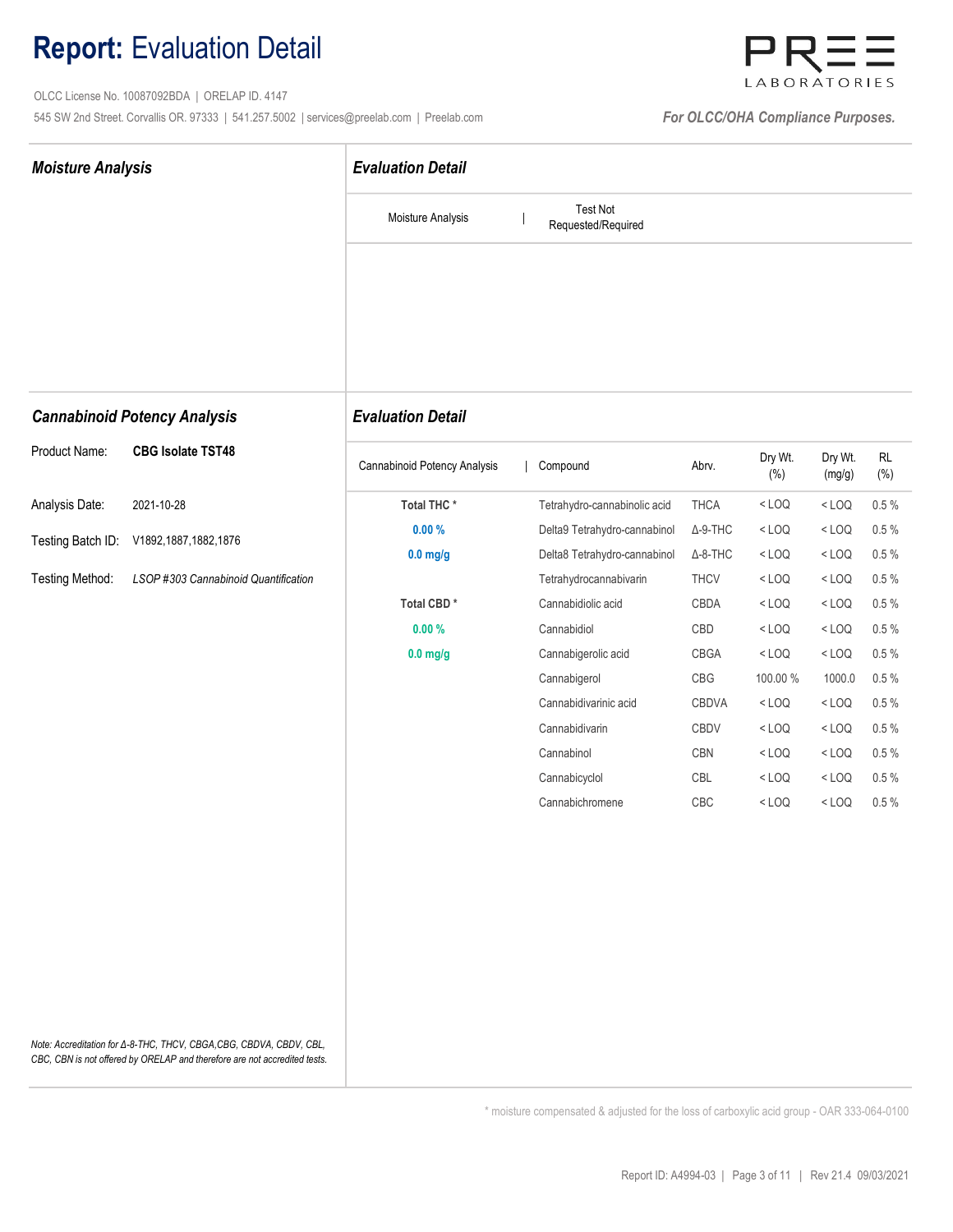## Report: Evaluation Detail

 OLCC License No. 10087092BDA | ORELAP ID. 4147 545 SW 2nd Street. Corvallis OR. 97333 | 541.257.5002 | services@preelab.com | Preelab.com | **For OLCC/OHA Compliance Purposes.** 



| <b>Moisture Analysis</b>                                                                                                                         | <b>Evaluation Detail</b>     |                                       |                 |                |                   |                          |  |  |  |
|--------------------------------------------------------------------------------------------------------------------------------------------------|------------------------------|---------------------------------------|-----------------|----------------|-------------------|--------------------------|--|--|--|
|                                                                                                                                                  | Moisture Analysis            | <b>Test Not</b><br>Requested/Required |                 |                |                   |                          |  |  |  |
|                                                                                                                                                  |                              |                                       |                 |                |                   |                          |  |  |  |
| <b>Cannabinoid Potency Analysis</b>                                                                                                              | <b>Evaluation Detail</b>     |                                       |                 |                |                   |                          |  |  |  |
| <b>CBG Isolate TST48</b><br>Product Name:                                                                                                        | Cannabinoid Potency Analysis | Compound                              | Abrv.           | Dry Wt.<br>(%) | Dry Wt.<br>(mg/g) | $\mathsf{RL}$<br>$(\% )$ |  |  |  |
| Analysis Date:<br>2021-10-28                                                                                                                     | Total THC*                   | Tetrahydro-cannabinolic acid          | THCA            | $<$ LOQ        | $<$ LOQ           | 0.5%                     |  |  |  |
| Testing Batch ID:<br>V1892,1887,1882,1876                                                                                                        | 0.00%                        | Delta9 Tetrahydro-cannabinol          | $\Delta$ -9-THC | $<$ LOQ        | $<$ LOQ           | $0.5 \%$                 |  |  |  |
|                                                                                                                                                  | $0.0$ mg/g                   | Delta8 Tetrahydro-cannabinol          | $\Delta$ -8-THC | $<$ LOQ        | $<$ LOQ           | $0.5 \%$                 |  |  |  |
| Testing Method:<br>LSOP #303 Cannabinoid Quantification                                                                                          |                              | Tetrahydrocannabivarin                | <b>THCV</b>     | $<$ LOQ        | $<$ LOQ           | $0.5\%$                  |  |  |  |
|                                                                                                                                                  | Total CBD*                   | Cannabidiolic acid                    | CBDA            | $<$ LOQ        | $<$ LOQ           | $0.5\%$                  |  |  |  |
|                                                                                                                                                  | 0.00%                        | Cannabidiol                           | CBD             | $<$ LOQ        | $<$ LOQ           | $0.5\%$                  |  |  |  |
|                                                                                                                                                  | $0.0$ mg/g                   | Cannabigerolic acid                   | CBGA            | $<$ LOQ        | $<$ LOQ           | $0.5\%$                  |  |  |  |
|                                                                                                                                                  |                              | Cannabigerol                          | CBG             | 100.00 %       | 1000.0            | $0.5\%$                  |  |  |  |
|                                                                                                                                                  |                              | Cannabidivarinic acid                 | CBDVA           | $<$ LOQ        | $<$ LOQ           | $0.5\%$                  |  |  |  |
|                                                                                                                                                  |                              | Cannabidivarin                        | CBDV            | $<$ LOQ        | $<$ LOQ           | $0.5\%$                  |  |  |  |
|                                                                                                                                                  |                              | Cannabinol                            | CBN             | $<$ LOQ        | $<$ LOQ           | $0.5\%$                  |  |  |  |
|                                                                                                                                                  |                              | Cannabicyclol<br>Cannabichromene      | CBL             | $<$ LOQ        | $<$ LOQ           | $0.5\%$                  |  |  |  |
|                                                                                                                                                  |                              |                                       | CBC             | $<$ LOQ        | $<$ LOQ           | $0.5\%$                  |  |  |  |
|                                                                                                                                                  |                              |                                       |                 |                |                   |                          |  |  |  |
|                                                                                                                                                  |                              |                                       |                 |                |                   |                          |  |  |  |
|                                                                                                                                                  |                              |                                       |                 |                |                   |                          |  |  |  |
|                                                                                                                                                  |                              |                                       |                 |                |                   |                          |  |  |  |
| Note: Accreditation for Δ-8-THC, THCV, CBGA, CBG, CBDVA, CBDV, CBL,<br>CBC, CBN is not offered by ORELAP and therefore are not accredited tests. |                              |                                       |                 |                |                   |                          |  |  |  |

\* moisture compensated & adjusted for the loss of carboxylic acid group - OAR 333-064-0100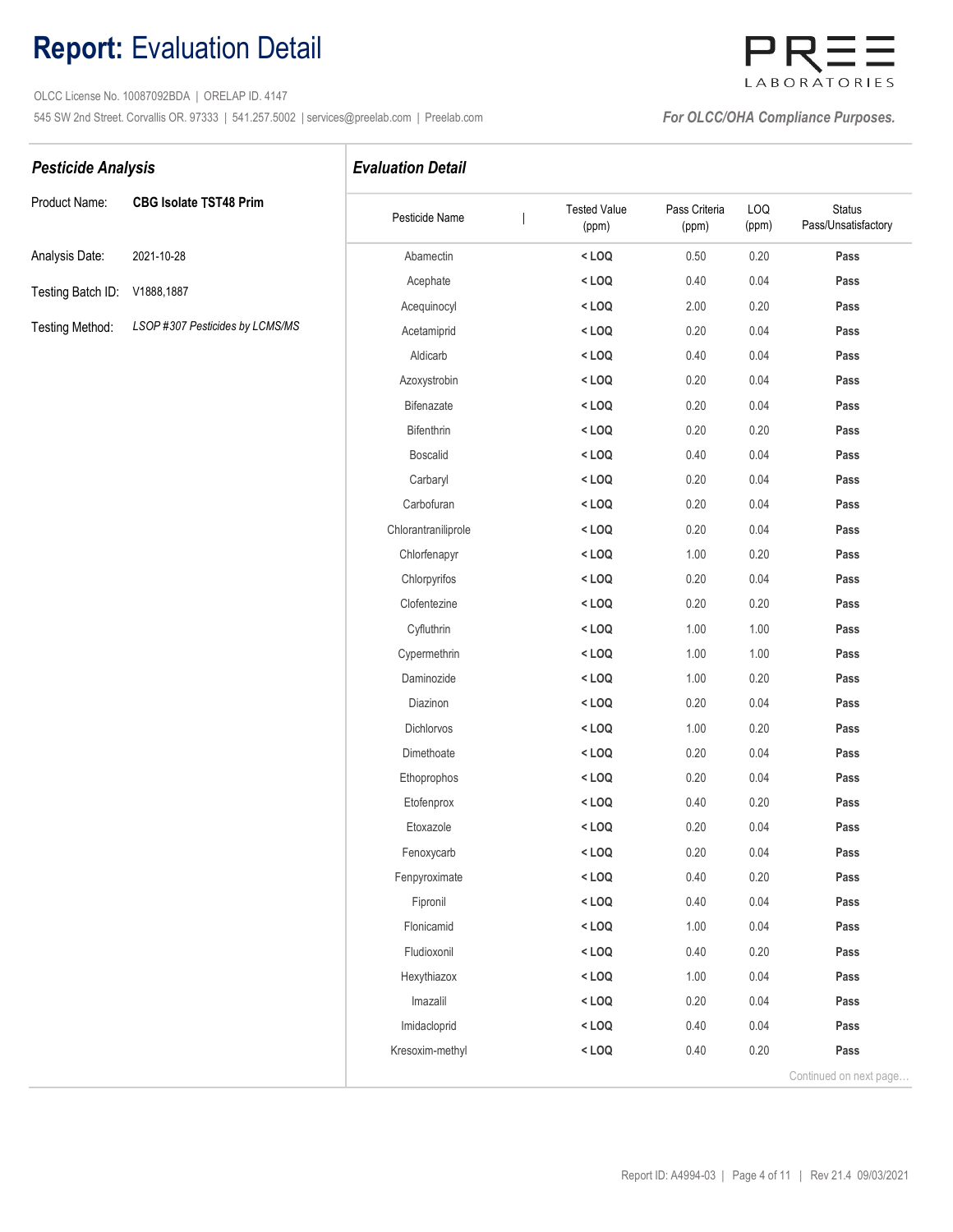## Report: Evaluation Detail

 OLCC License No. 10087092BDA | ORELAP ID. 4147 545 SW 2nd Street. Corvallis OR. 97333 | 541.257.5002 | services@preelab.com | Preelab.com | **For OLCC/OHA Compliance Purposes.** 

## LABORATORIES

### Pesticide Analysis **Evaluation Detail**

| Product Name:                | <b>CBG Isolate TST48 Prim</b>   |
|------------------------------|---------------------------------|
| Analysis Date:               | 2021-10-28                      |
| Testing Batch ID: V1888,1887 |                                 |
| Testing Method:              | LSOP #307 Pesticides by LCMS/MS |

| Product Name:     | <b>CBG Isolate TST48 Prim</b>   | Pesticide Name      | <b>Tested Value</b><br>(ppm) | Pass Criteria<br>(ppm) | LOQ<br>(ppm) | <b>Status</b><br>Pass/Unsatisfactory |
|-------------------|---------------------------------|---------------------|------------------------------|------------------------|--------------|--------------------------------------|
| Analysis Date:    | 2021-10-28                      | Abamectin           | $<$ LOQ                      | 0.50                   | 0.20         | Pass                                 |
| Testing Batch ID: | V1888,1887                      | Acephate            | $<$ LOQ                      | 0.40                   | 0.04         | Pass                                 |
|                   |                                 | Acequinocyl         | $<$ LOQ                      | 2.00                   | 0.20         | Pass                                 |
| Testing Method:   | LSOP #307 Pesticides by LCMS/MS | Acetamiprid         | $<$ LOQ                      | 0.20                   | 0.04         | Pass                                 |
|                   |                                 | Aldicarb            | $<$ LOQ                      | 0.40                   | 0.04         | Pass                                 |
|                   |                                 | Azoxystrobin        | $<$ LOQ                      | 0.20                   | 0.04         | Pass                                 |
|                   |                                 | Bifenazate          | $<$ LOQ                      | 0.20                   | 0.04         | Pass                                 |
|                   |                                 | Bifenthrin          | $<$ LOQ                      | 0.20                   | 0.20         | Pass                                 |
|                   |                                 | <b>Boscalid</b>     | $<$ LOQ                      | 0.40                   | 0.04         | Pass                                 |
|                   |                                 | Carbaryl            | $<$ LOQ                      | 0.20                   | 0.04         | Pass                                 |
|                   |                                 | Carbofuran          | $<$ LOQ                      | 0.20                   | 0.04         | Pass                                 |
|                   |                                 | Chlorantraniliprole | $<$ LOQ                      | 0.20                   | 0.04         | Pass                                 |
|                   |                                 | Chlorfenapyr        | $<$ LOQ                      | 1.00                   | 0.20         | Pass                                 |
|                   |                                 | Chlorpyrifos        | $<$ LOQ                      | 0.20                   | 0.04         | Pass                                 |
|                   |                                 | Clofentezine        | $<$ LOQ                      | 0.20                   | 0.20         | Pass                                 |
|                   |                                 | Cyfluthrin          | $<$ LOQ                      | 1.00                   | 1.00         | Pass                                 |
|                   |                                 | Cypermethrin        | $<$ LOQ                      | 1.00                   | 1.00         | Pass                                 |
|                   |                                 | Daminozide          | $<$ LOQ                      | 1.00                   | 0.20         | Pass                                 |
|                   |                                 | Diazinon            | $<$ LOQ                      | 0.20                   | 0.04         | Pass                                 |
|                   |                                 | Dichlorvos          | $<$ LOQ                      | 1.00                   | 0.20         | Pass                                 |
|                   |                                 | Dimethoate          | $<$ LOQ                      | 0.20                   | 0.04         | Pass                                 |
|                   |                                 | Ethoprophos         | $<$ LOQ                      | 0.20                   | 0.04         | Pass                                 |
|                   |                                 | Etofenprox          | $<$ LOQ                      | 0.40                   | 0.20         | Pass                                 |
|                   |                                 | Etoxazole           | $<$ LOQ                      | 0.20                   | 0.04         | Pass                                 |
|                   |                                 | Fenoxycarb          | $<$ LOQ                      | 0.20                   | 0.04         | Pass                                 |
|                   |                                 | Fenpyroximate       | $<$ LOQ                      | 0.40                   | 0.20         | Pass                                 |
|                   |                                 | Fipronil            | $<$ LOQ                      | 0.40                   | 0.04         | Pass                                 |
|                   |                                 | Flonicamid          | $<$ LOQ                      | 1.00                   | 0.04         | Pass                                 |
|                   |                                 | Fludioxonil         | $<$ LOQ                      | 0.40                   | 0.20         | Pass                                 |
|                   |                                 | Hexythiazox         | $<$ LOQ                      | 1.00                   | 0.04         | Pass                                 |
|                   |                                 | Imazalil            | $<$ LOQ                      | 0.20                   | 0.04         | Pass                                 |
|                   |                                 | Imidacloprid        | $<$ LOQ                      | 0.40                   | 0.04         | Pass                                 |
|                   |                                 | Kresoxim-methyl     | $<$ LOQ                      | 0.40                   | $0.20\,$     | Pass                                 |
|                   |                                 |                     |                              |                        |              | Continued on next page               |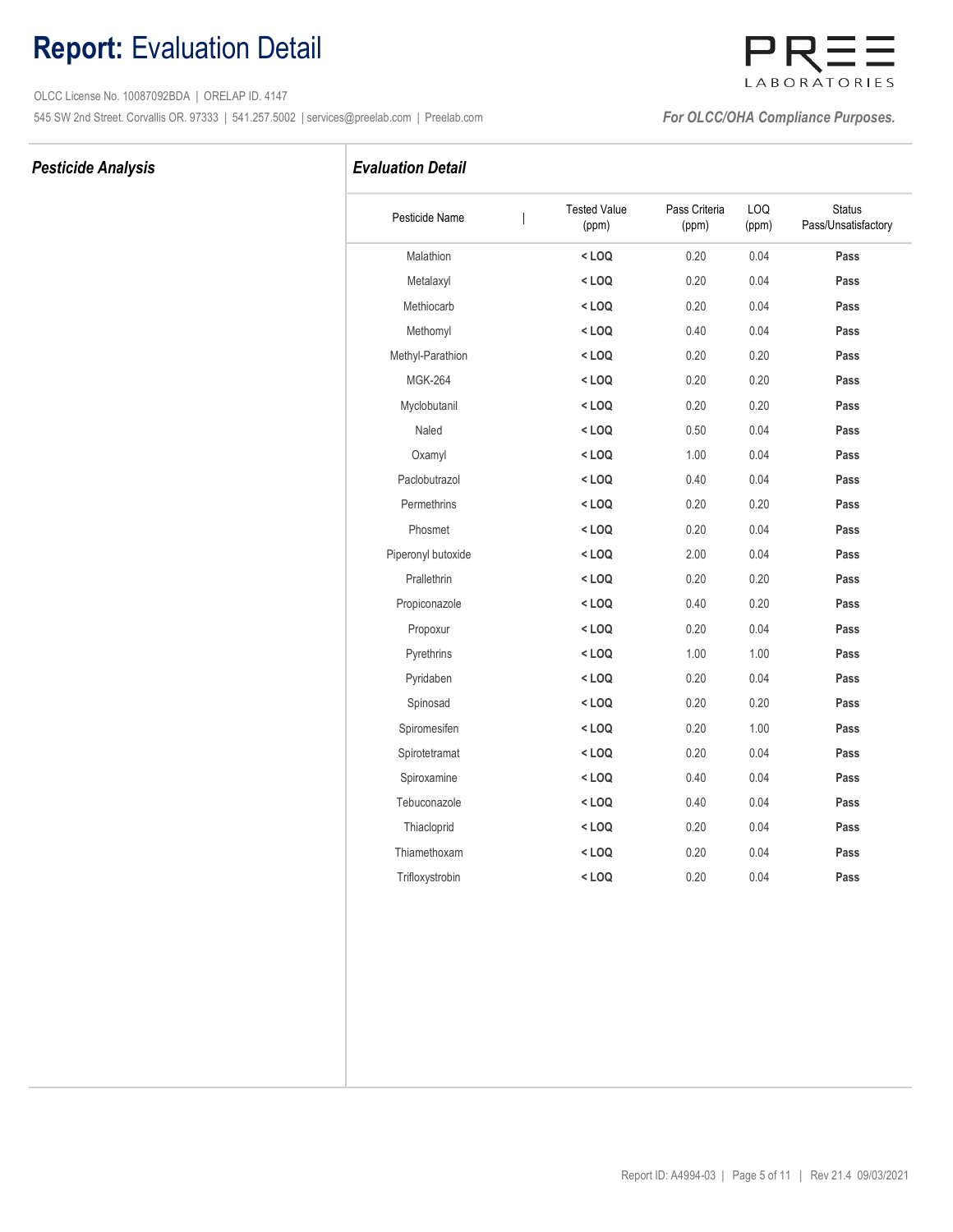## Report: Evaluation Detail

 OLCC License No. 10087092BDA | ORELAP ID. 4147 545 SW 2nd Street. Corvallis OR. 97333 | 541.257.5002 | services@preelab.com | Preelab.com | **For OLCC/OHA Compliance Purposes.** 

### Pesticide Analysis **Evaluation Detail**

| Pesticide Name     | <b>Tested Value</b><br>(ppm) | Pass Criteria<br>(ppm) | LOQ<br>(ppm) | <b>Status</b><br>Pass/Unsatisfactory |
|--------------------|------------------------------|------------------------|--------------|--------------------------------------|
| Malathion          | $<$ LOQ                      | 0.20                   | 0.04         | Pass                                 |
| Metalaxyl          | $<$ LOQ                      | 0.20                   | 0.04         | Pass                                 |
| Methiocarb         | $<$ LOQ                      | 0.20                   | 0.04         | Pass                                 |
| Methomyl           | $<$ LOQ                      | 0.40                   | 0.04         | Pass                                 |
| Methyl-Parathion   | $<$ LOQ                      | 0.20                   | 0.20         | Pass                                 |
| <b>MGK-264</b>     | $<$ LOQ                      | 0.20                   | 0.20         | Pass                                 |
| Myclobutanil       | $<$ LOQ                      | 0.20                   | 0.20         | Pass                                 |
| Naled              | $<$ LOQ                      | 0.50                   | 0.04         | Pass                                 |
| Oxamyl             | $<$ LOQ                      | 1.00                   | 0.04         | Pass                                 |
| Paclobutrazol      | $<$ LOQ                      | 0.40                   | 0.04         | Pass                                 |
| Permethrins        | $<$ LOQ                      | 0.20                   | 0.20         | Pass                                 |
| Phosmet            | $<$ LOQ                      | 0.20                   | 0.04         | Pass                                 |
| Piperonyl butoxide | $<$ LOQ                      | 2.00                   | 0.04         | Pass                                 |
| Prallethrin        | $<$ LOQ                      | 0.20                   | 0.20         | Pass                                 |
| Propiconazole      | $<$ LOQ                      | 0.40                   | 0.20         | Pass                                 |
| Propoxur           | $<$ LOQ                      | 0.20                   | 0.04         | Pass                                 |
| Pyrethrins         | $<$ LOQ                      | 1.00                   | 1.00         | Pass                                 |
| Pyridaben          | $<$ LOQ                      | 0.20                   | 0.04         | Pass                                 |
| Spinosad           | $<$ LOQ                      | 0.20                   | 0.20         | Pass                                 |
| Spiromesifen       | $<$ LOQ                      | 0.20                   | 1.00         | Pass                                 |
| Spirotetramat      | $<$ LOQ                      | 0.20                   | 0.04         | Pass                                 |
| Spiroxamine        | $<$ LOQ                      | 0.40                   | 0.04         | Pass                                 |
| Tebuconazole       | $<$ LOQ                      | 0.40                   | 0.04         | Pass                                 |
| Thiacloprid        | $<$ LOQ                      | 0.20                   | 0.04         | Pass                                 |
| Thiamethoxam       | $<$ LOQ                      | 0.20                   | 0.04         | Pass                                 |
| Trifloxystrobin    | $<$ LOQ                      | 0.20                   | 0.04         | Pass                                 |
|                    |                              |                        |              |                                      |

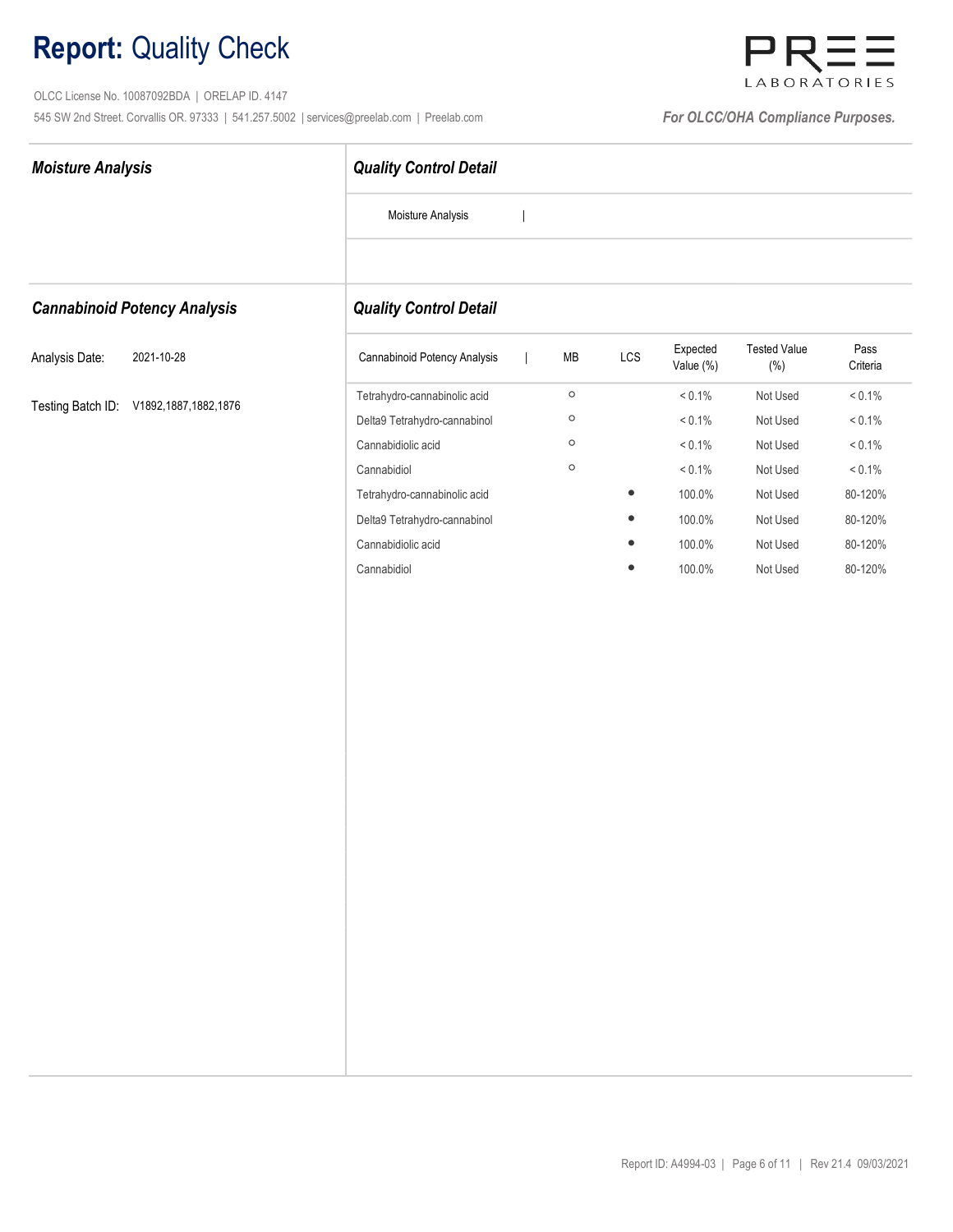OLCC License No. 10087092BDA | ORELAP ID. 4147 545 SW 2nd Street. Corvallis OR. 97333 | 541.257.5002 | services@preelab.com | Preelab.com | **For OLCC/OHA Compliance Purposes.** 



| <b>Moisture Analysis</b>               | <b>Quality Control Detail</b>                                |  |                    |           |                        |                                |                        |
|----------------------------------------|--------------------------------------------------------------|--|--------------------|-----------|------------------------|--------------------------------|------------------------|
|                                        | Moisture Analysis                                            |  |                    |           |                        |                                |                        |
| <b>Cannabinoid Potency Analysis</b>    | <b>Quality Control Detail</b>                                |  |                    |           |                        |                                |                        |
| Analysis Date:<br>2021-10-28           | Cannabinoid Potency Analysis                                 |  | MB                 | LCS       | Expected<br>Value (%)  | <b>Tested Value</b><br>$(\% )$ | Pass<br>Criteria       |
| Testing Batch ID: V1892,1887,1882,1876 | Tetrahydro-cannabinolic acid<br>Delta9 Tetrahydro-cannabinol |  | $\circ$<br>$\circ$ |           | $< 0.1\%$<br>$< 0.1\%$ | Not Used<br>Not Used           | $< 0.1\%$<br>$< 0.1\%$ |
|                                        | Cannabidiolic acid                                           |  | $\circ$            |           | $< 0.1\%$              | Not Used                       | $< 0.1\%$              |
|                                        | Cannabidiol                                                  |  | $\circ$            |           | $< 0.1\%$              | Not Used                       | $< 0.1\%$              |
|                                        | Tetrahydro-cannabinolic acid                                 |  |                    | $\bullet$ | 100.0%                 | Not Used                       | 80-120%                |
|                                        | Delta9 Tetrahydro-cannabinol                                 |  |                    |           | 100.0%                 | Not Used                       | 80-120%                |
|                                        | Cannabidiolic acid                                           |  |                    |           | 100.0%                 | Not Used                       | 80-120%                |
|                                        | Cannabidiol                                                  |  |                    | $\bullet$ | 100.0%                 | Not Used                       | 80-120%                |
|                                        |                                                              |  |                    |           |                        |                                |                        |
|                                        |                                                              |  |                    |           |                        |                                |                        |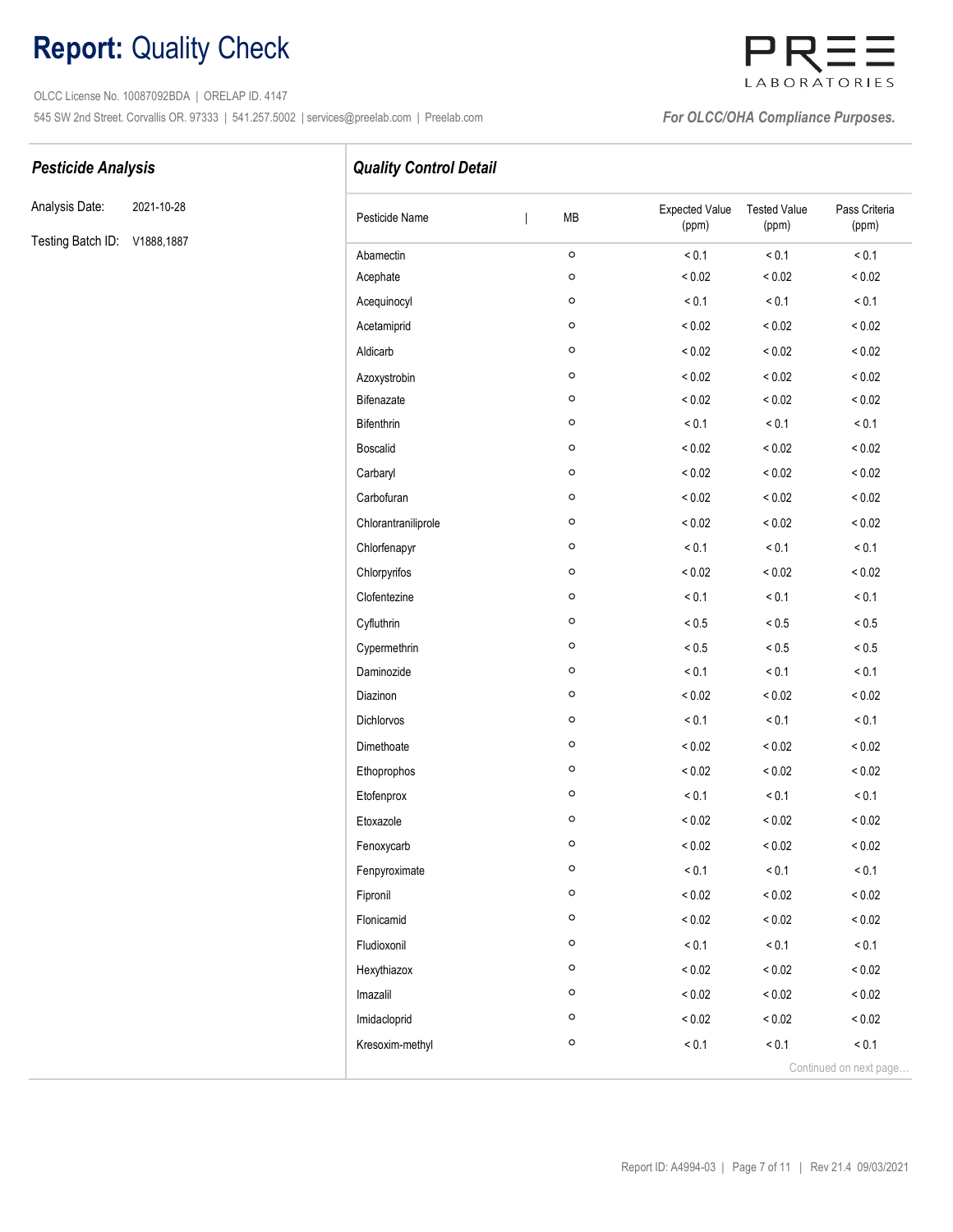OLCC License No. 10087092BDA | ORELAP ID. 4147 545 SW 2nd Street. Corvallis OR. 97333 | 541.257.5002 | services@preelab.com | Preelab.com | **For OLCC/OHA Compliance Purposes.** 



Analysis Date: 2021-10-28

Testing Batch ID: V1888,1887

Pesticide Analysis **Pesticide Analysis Quality Control Detail** 

| Pesticide Name      | MB      | <b>Expected Value</b><br>(ppm) | <b>Tested Value</b><br>(ppm) | Pass Criteria<br>(ppm) |
|---------------------|---------|--------------------------------|------------------------------|------------------------|
| Abamectin           | $\circ$ | < 0.1                          | ${}_{0.1}$                   | < 0.1                  |
| Acephate            | $\circ$ | ${}_{0.02}$                    | ${}_{0.02}$                  | < 0.02                 |
| Acequinocyl         | $\circ$ | < 0.1                          | < 0.1                        | < 0.1                  |
| Acetamiprid         | $\circ$ | ${}_{0.02}$                    | < 0.02                       | < 0.02                 |
| Aldicarb            | O       | ${}_{0.02}$                    | ${}_{0.02}$                  | ${}_{0.02}$            |
| Azoxystrobin        | $\circ$ | ${}_{0.02}$                    | ${}_{0.02}$                  | < 0.02                 |
| Bifenazate          | O       | < 0.02                         | ${}< 0.02$                   | < 0.02                 |
| <b>Bifenthrin</b>   | $\circ$ | < 0.1                          | < 0.1                        | < 0.1                  |
| <b>Boscalid</b>     | $\circ$ | < 0.02                         | ${}_{0.02}$                  | ${}_{0.02}$            |
| Carbaryl            | O       | ${}_{0.02}$                    | < 0.02                       | < 0.02                 |
| Carbofuran          | $\circ$ | ${}_{0.02}$                    | ${}_{0.02}$                  | < 0.02                 |
| Chlorantraniliprole | $\circ$ | ${}_{0.02}$                    | ${}_{0.02}$                  | ${}_{0.02}$            |
| Chlorfenapyr        | $\circ$ | < 0.1                          | < 0.1                        | < 0.1                  |
| Chlorpyrifos        | $\circ$ | ${}_{0.02}$                    | < 0.02                       | < 0.02                 |
| Clofentezine        | $\circ$ | < 0.1                          | < 0.1                        | < 0.1                  |
| Cyfluthrin          | O       | ${}_{0.5}$                     | ${}_{0.5}$                   | ${}_{0.5}$             |
| Cypermethrin        | $\circ$ | ${}_{0.5}$                     | ${}_{< 0.5}$                 | ${}_{0.5}$             |
| Daminozide          | $\circ$ | < 0.1                          | < 0.1                        | < 0.1                  |
| Diazinon            | $\circ$ | ${}_{0.02}$                    | ${}_{0.02}$                  | < 0.02                 |
| Dichlorvos          | $\circ$ | < 0.1                          | < 0.1                        | < 0.1                  |
| Dimethoate          | O       | < 0.02                         | < 0.02                       | < 0.02                 |
| Ethoprophos         | $\circ$ | ${}_{0.02}$                    | ${}_{0.02}$                  | < 0.02                 |
| Etofenprox          | $\circ$ | < 0.1                          | < 0.1                        | < 0.1                  |
| Etoxazole           | O       | ${}_{0.02}$                    | ${}_{0.02}$                  | ${}_{0.02}$            |
| Fenoxycarb          | $\circ$ | < 0.02                         | ${}_{0.02}$                  | < 0.02                 |
| Fenpyroximate       | O       | < 0.1                          | < 0.1                        | < 0.1                  |
| Fipronil            | $\circ$ | ${}_{0.02}$                    | ${}_{0.02}$                  | ${}_{0.02}$            |
| Flonicamid          | $\circ$ | ${}_{< 0.02}$                  | ${}_{< 0.02}$                | ${}_{0.02}$            |
| Fludioxonil         | $\circ$ | < 0.1                          | < 0.1                        | < 0.1                  |
| Hexythiazox         | $\circ$ | ${}_{0.02}$                    | ${}_{0.02}$                  | ${}_{0.02}$            |
| Imazalil            | $\circ$ | ${}_{< 0.02}$                  | ${}_{0.02}$                  | ${}_{0.02}$            |
| Imidacloprid        | $\circ$ | ${}_{0.02}$                    | ${}_{0.02}$                  | ${}_{0.02}$            |
| Kresoxim-methyl     | O       | < 0.1                          | < 0.1                        | < 0.1                  |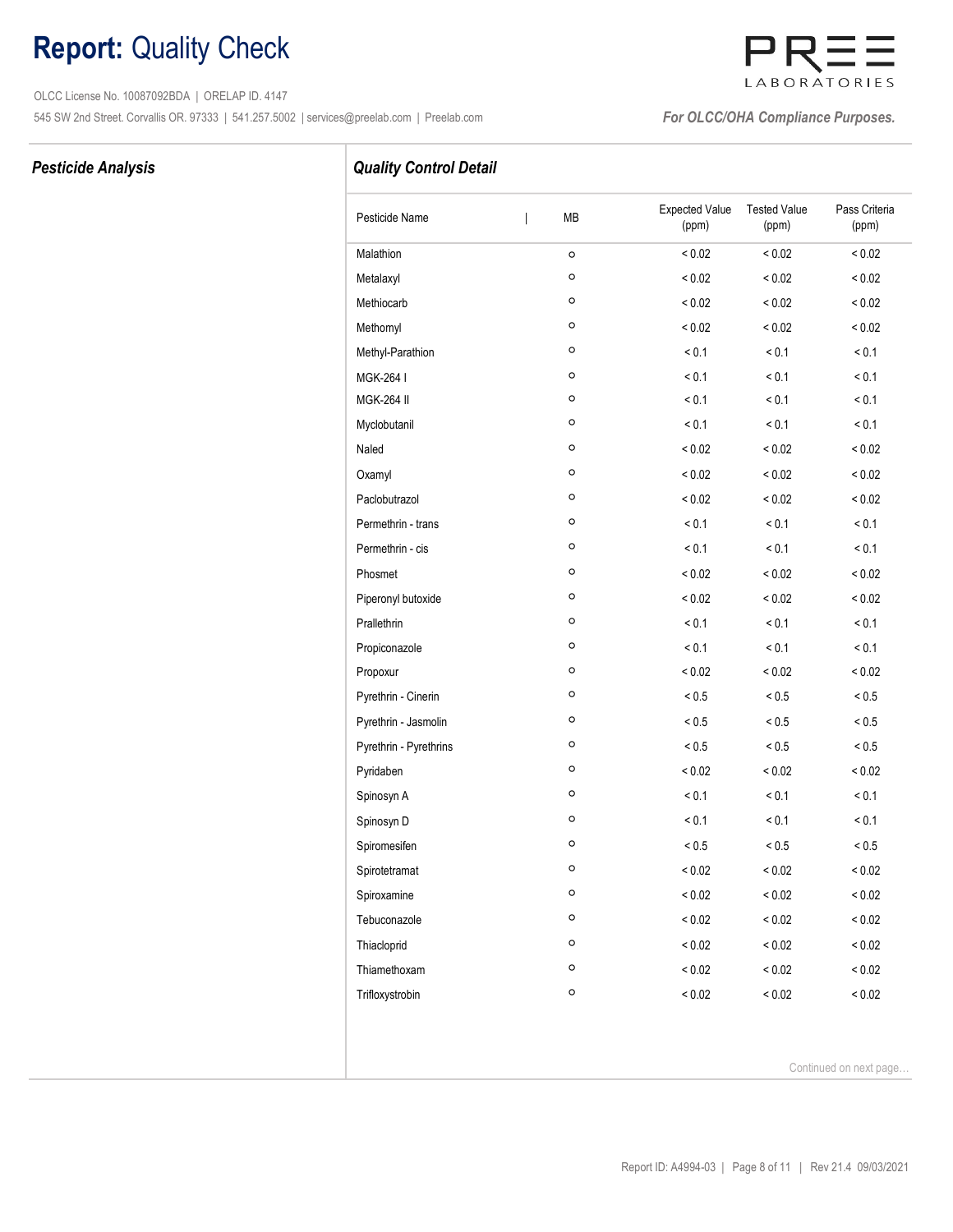OLCC License No. 10087092BDA | ORELAP ID. 4147 545 SW 2nd Street. Corvallis OR. 97333 | 541.257.5002 | services@preelab.com | Preelab.com | **For OLCC/OHA Compliance Purposes.** 

# LABORATORIES

### Pesticide Analysis

### Quality Control Detail

| Pesticide Name         | MB<br>T      | <b>Expected Value</b><br>(ppm) | <b>Tested Value</b><br>(ppm) | Pass Criteria<br>(ppm) |
|------------------------|--------------|--------------------------------|------------------------------|------------------------|
| Malathion              | $\circ$      | ${}_{0.02}$                    | ${}_{0.02}$                  | < 0.02                 |
| Metalaxyl              | o            | ${}_{0.02}$                    | < 0.02                       | ${}_{0.02}$            |
| Methiocarb             | O            | ${}_{0.02}$                    | $< 0.02$                     | ${}_{0.02}$            |
| Methomyl               | O            | ${}_{0.02}$                    | < 0.02                       | ${}_{0.02}$            |
| Methyl-Parathion       | o            | < 0.1                          | < 0.1                        | < 0.1                  |
| MGK-264 I              | O            | < 0.1                          | < 0.1                        | < 0.1                  |
| <b>MGK-264 II</b>      | O            | < 0.1                          | < 0.1                        | < 0.1                  |
| Myclobutanil           | O            | < 0.1                          | < 0.1                        | < 0.1                  |
| Naled                  | $\circ$      | < 0.02                         | ${}_{0.02}$                  | ${}_{0.02}$            |
| Oxamyl                 | o            | ${}_{0.02}$                    | ${}< 0.02$                   | < 0.02                 |
| Paclobutrazol          | O            | ${}_{0.02}$                    | < 0.02                       | < 0.02                 |
| Permethrin - trans     | O            | < 0.1                          | < 0.1                        | < 0.1                  |
| Permethrin - cis       | $\mathsf{o}$ | < 0.1                          | < 0.1                        | < 0.1                  |
| Phosmet                | O            | ${}_{0.02}$                    | ${}_{0.02}$                  | ${}< 0.02$             |
| Piperonyl butoxide     | $\circ$      | ${}_{0.02}$                    | ${}< 0.02$                   | ${}_{0.02}$            |
| Prallethrin            | $\mathsf{o}$ | < 0.1                          | < 0.1                        | < 0.1                  |
| Propiconazole          | O            | < 0.1                          | < 0.1                        | < 0.1                  |
| Propoxur               | $\circ$      | ${}_{0.02}$                    | ${}< 0.02$                   | ${}_{0.02}$            |
| Pyrethrin - Cinerin    | O            | ${}_{< 0.5}$                   | ${}_{0.5}$                   | ${}_{< 0.5}$           |
| Pyrethrin - Jasmolin   | o            | $< 0.5$                        | ${}_{0.5}$                   | ${}_{< 0.5}$           |
| Pyrethrin - Pyrethrins | O            | ${}_{< 0.5}$                   | $< 0.5$                      | $< 0.5$                |
| Pyridaben              | O            | ${}_{0.02}$                    | ${}< 0.02$                   | ${}_{0.02}$            |
| Spinosyn A             | $\mathsf{o}$ | < 0.1                          | < 0.1                        | < 0.1                  |
| Spinosyn D             | O            | < 0.1                          | < 0.1                        | < 0.1                  |
| Spiromesifen           | $\mathsf{o}$ | ${}_{< 0.5}$                   | ${}_{0.5}$                   | ${}_{< 0.5}$           |
| Spirotetramat          | $\circ$      | ${}_{0.02}$                    | ${}_{0.02}$                  | ${}_{0.02}$            |
| Spiroxamine            | $\mathsf{o}$ | ${}_{0.02}$                    | ${}< 0.02$                   | ${}_{< 0.02}$          |
| Tebuconazole           | $\mathsf{o}$ | ${}_{0.02}$                    | ${}_{0.02}$                  | ${}_{0.02}$            |
| Thiacloprid            | $\circ$      | ${}_{0.02}$                    | ${}_{0.02}$                  | ${}_{0.02}$            |
| Thiamethoxam           | o            | ${}_{0.02}$                    | ${}_{0.02}$                  | ${}_{0.02}$            |
| Trifloxystrobin        | $\circ$      | ${}_{0.02}$                    | ${}_{0.02}$                  | ${}_{0.02}$            |

Continued on next page…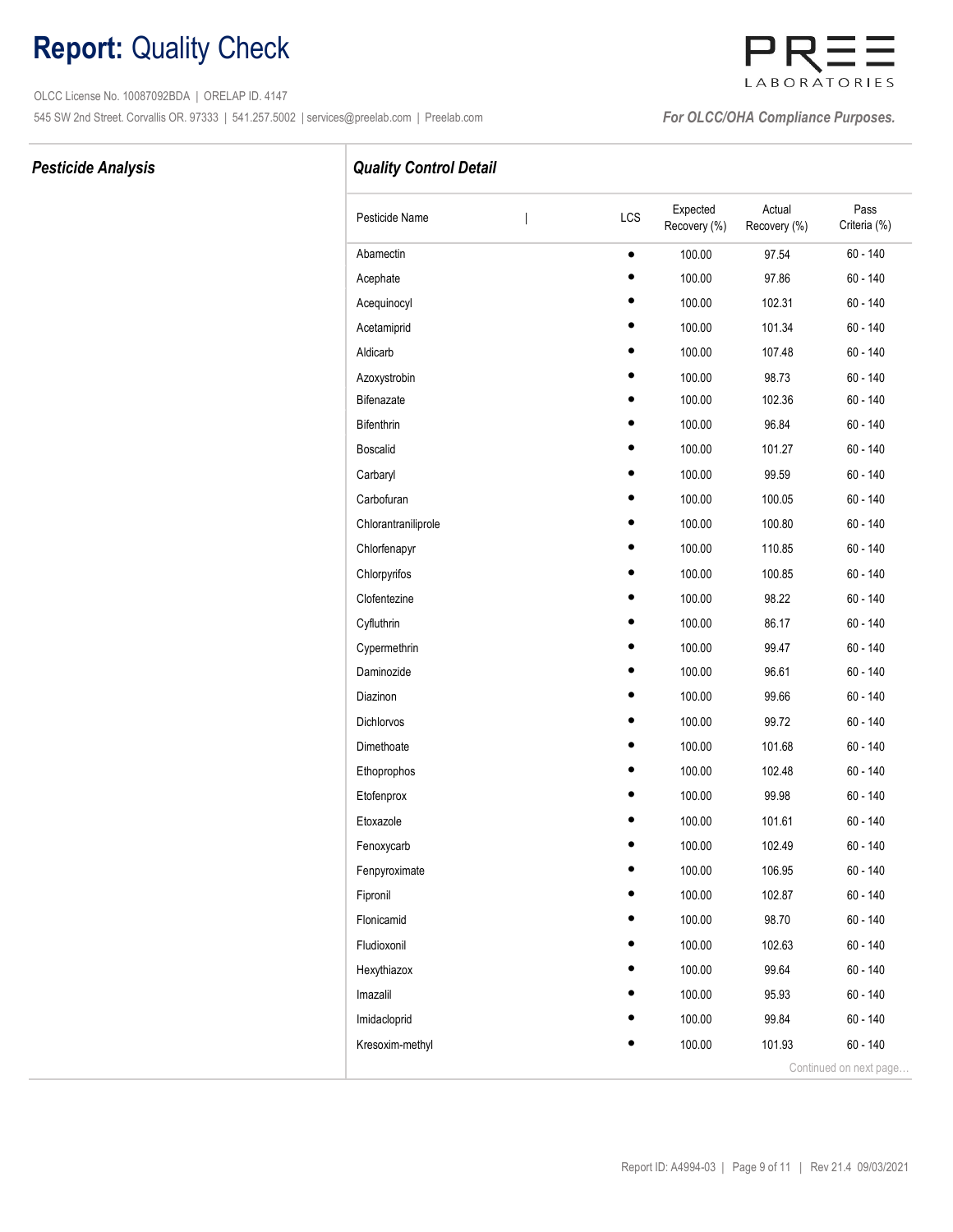OLCC License No. 10087092BDA | ORELAP ID. 4147 545 SW 2nd Street. Corvallis OR. 97333 | 541.257.5002 | services@preelab.com | Preelab.com | **For OLCC/OHA Compliance Purposes.** 

# LABORATORIES

### Pesticide Analysis **Pesticide Analysis Quality Control Detail**

| Pesticide Name      | LCS       | Expected<br>Recovery (%) | Actual<br>Recovery (%) | Pass<br>Criteria (%)   |
|---------------------|-----------|--------------------------|------------------------|------------------------|
| Abamectin           | $\bullet$ | 100.00                   | 97.54                  | $60 - 140$             |
| Acephate            |           | 100.00                   | 97.86                  | 60 - 140               |
| Acequinocyl         |           | 100.00                   | 102.31                 | $60 - 140$             |
| Acetamiprid         |           | 100.00                   | 101.34                 | $60 - 140$             |
| Aldicarb            |           | 100.00                   | 107.48                 | $60 - 140$             |
| Azoxystrobin        |           | 100.00                   | 98.73                  | $60 - 140$             |
| Bifenazate          |           | 100.00                   | 102.36                 | 60 - 140               |
| Bifenthrin          |           | 100.00                   | 96.84                  | $60 - 140$             |
| <b>Boscalid</b>     |           | 100.00                   | 101.27                 | $60 - 140$             |
| Carbaryl            |           | 100.00                   | 99.59                  | 60 - 140               |
| Carbofuran          |           | 100.00                   | 100.05                 | $60 - 140$             |
| Chlorantraniliprole |           | 100.00                   | 100.80                 | $60 - 140$             |
| Chlorfenapyr        |           | 100.00                   | 110.85                 | $60 - 140$             |
| Chlorpyrifos        |           | 100.00                   | 100.85                 | $60 - 140$             |
| Clofentezine        |           | 100.00                   | 98.22                  | $60 - 140$             |
| Cyfluthrin          |           | 100.00                   | 86.17                  | $60 - 140$             |
| Cypermethrin        |           | 100.00                   | 99.47                  | $60 - 140$             |
| Daminozide          |           | 100.00                   | 96.61                  | $60 - 140$             |
| Diazinon            |           | 100.00                   | 99.66                  | $60 - 140$             |
| <b>Dichlorvos</b>   |           | 100.00                   | 99.72                  | $60 - 140$             |
| Dimethoate          |           | 100.00                   | 101.68                 | $60 - 140$             |
| Ethoprophos         |           | 100.00                   | 102.48                 | $60 - 140$             |
| Etofenprox          |           | 100.00                   | 99.98                  | 60 - 140               |
| Etoxazole           |           | 100.00                   | 101.61                 | $60 - 140$             |
| Fenoxycarb          |           | 100.00                   | 102.49                 | $60 - 140$             |
| Fenpyroximate       |           | 100.00                   | 106.95                 | 60 - 140               |
| Fipronil            |           | 100.00                   | 102.87                 | $60 - 140$             |
| Flonicamid          |           | 100.00                   | 98.70                  | $60 - 140$             |
| Fludioxonil         |           | 100.00                   | 102.63                 | $60 - 140$             |
| Hexythiazox         |           | 100.00                   | 99.64                  | $60 - 140$             |
| Imazalil            |           | 100.00                   | 95.93                  | $60 - 140$             |
| Imidacloprid        |           | 100.00                   | 99.84                  | $60 - 140$             |
| Kresoxim-methyl     |           | 100.00                   | 101.93                 | $60 - 140$             |
|                     |           |                          |                        | Continued on next page |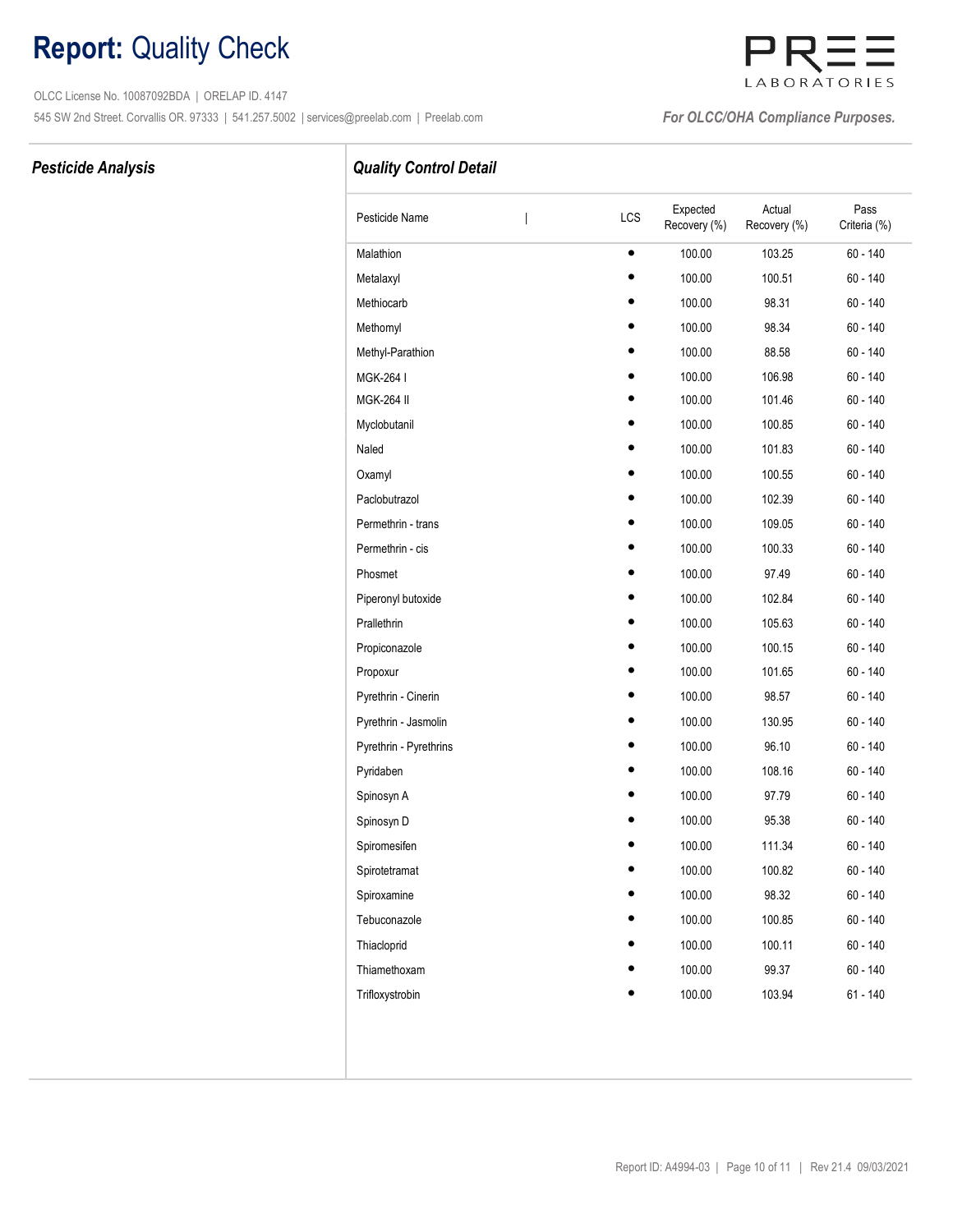OLCC License No. 10087092BDA | ORELAP ID. 4147 545 SW 2nd Street. Corvallis OR. 97333 | 541.257.5002 | services@preelab.com | Preelab.com | **For OLCC/OHA Compliance Purposes.** 

# LABORATORIES

### Pesticide Analysis **Pesticide Analysis Quality Control Detail**

| Pesticide Name         | I | LCS       | Expected<br>Recovery (%) | Actual<br>Recovery (%) | Pass<br>Criteria (%) |
|------------------------|---|-----------|--------------------------|------------------------|----------------------|
| Malathion              |   | $\bullet$ | 100.00                   | 103.25                 | 60 - 140             |
| Metalaxyl              |   |           | 100.00                   | 100.51                 | $60 - 140$           |
| Methiocarb             |   |           | 100.00                   | 98.31                  | 60 - 140             |
| Methomyl               |   |           | 100.00                   | 98.34                  | 60 - 140             |
| Methyl-Parathion       |   |           | 100.00                   | 88.58                  | 60 - 140             |
| MGK-264 I              |   |           | 100.00                   | 106.98                 | $60 - 140$           |
| <b>MGK-264 II</b>      |   |           | 100.00                   | 101.46                 | 60 - 140             |
| Myclobutanil           |   |           | 100.00                   | 100.85                 | 60 - 140             |
| Naled                  |   |           | 100.00                   | 101.83                 | 60 - 140             |
| Oxamyl                 |   |           | 100.00                   | 100.55                 | 60 - 140             |
| Paclobutrazol          |   |           | 100.00                   | 102.39                 | 60 - 140             |
| Permethrin - trans     |   |           | 100.00                   | 109.05                 | 60 - 140             |
| Permethrin - cis       |   |           | 100.00                   | 100.33                 | $60 - 140$           |
| Phosmet                |   |           | 100.00                   | 97.49                  | $60 - 140$           |
| Piperonyl butoxide     |   |           | 100.00                   | 102.84                 | $60 - 140$           |
| Prallethrin            |   |           | 100.00                   | 105.63                 | 60 - 140             |
| Propiconazole          |   |           | 100.00                   | 100.15                 | $60 - 140$           |
| Propoxur               |   |           | 100.00                   | 101.65                 | 60 - 140             |
| Pyrethrin - Cinerin    |   |           | 100.00                   | 98.57                  | 60 - 140             |
| Pyrethrin - Jasmolin   |   |           | 100.00                   | 130.95                 | $60 - 140$           |
| Pyrethrin - Pyrethrins |   |           | 100.00                   | 96.10                  | $60 - 140$           |
| Pyridaben              |   |           | 100.00                   | 108.16                 | 60 - 140             |
| Spinosyn A             |   |           | 100.00                   | 97.79                  | 60 - 140             |
| Spinosyn D             |   |           | 100.00                   | 95.38                  | $60 - 140$           |
| Spiromesifen           |   |           | 100.00                   | 111.34                 | 60 - 140             |
| Spirotetramat          |   |           | 100.00                   | 100.82                 | 60 - 140             |
| Spiroxamine            |   |           | 100.00                   | 98.32                  | $60 - 140$           |
| Tebuconazole           |   |           | 100.00                   | 100.85                 | $60 - 140$           |
| Thiacloprid            |   |           | 100.00                   | 100.11                 | $60 - 140$           |
| Thiamethoxam           |   |           | 100.00                   | 99.37                  | $60 - 140$           |
| Trifloxystrobin        |   |           | 100.00                   | 103.94                 | $61 - 140$           |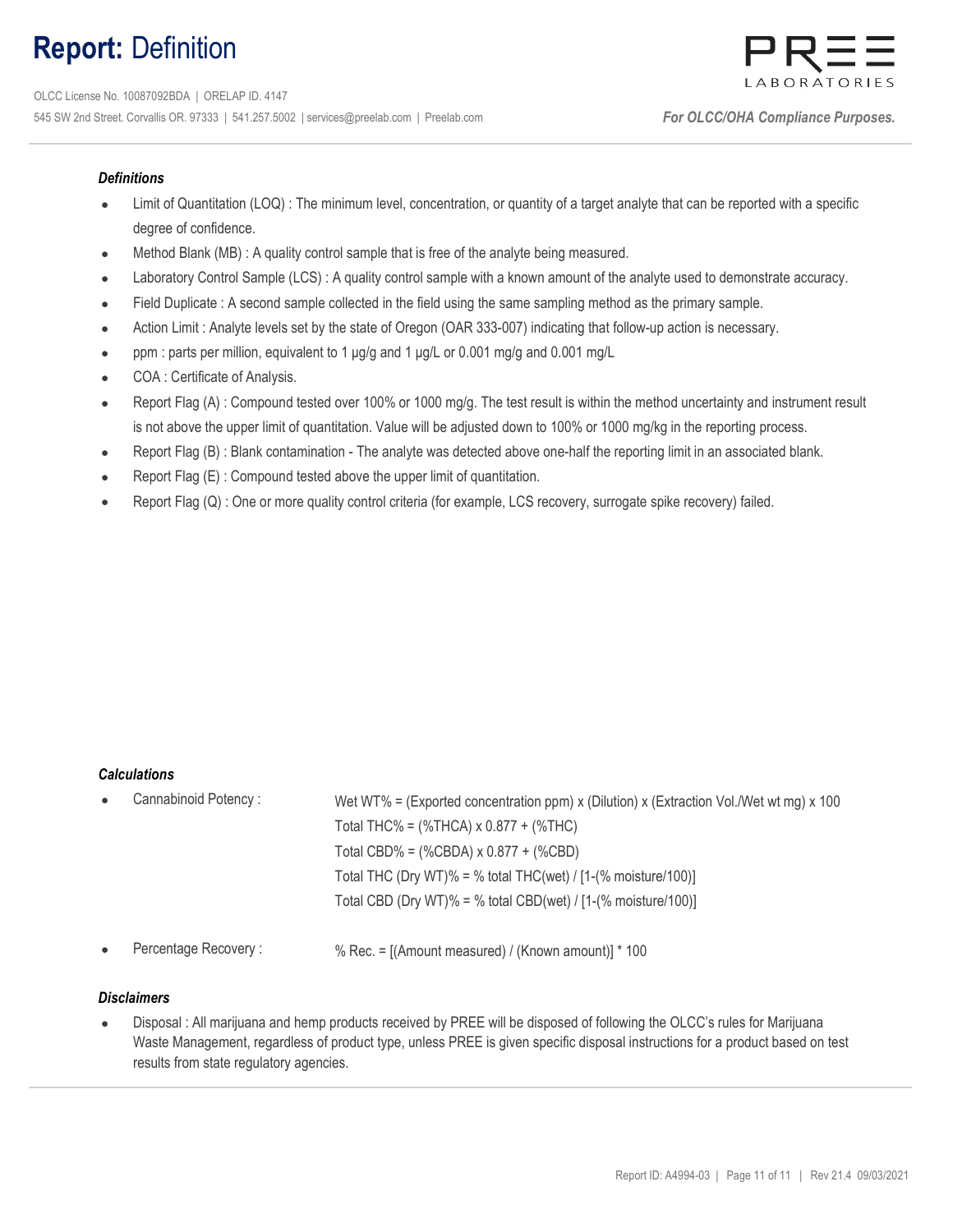## Report: Definition



### **Definitions**

- Limit of Quantitation (LOQ) : The minimum level, concentration, or quantity of a target analyte that can be reported with a specific degree of confidence.
- Method Blank (MB) : A quality control sample that is free of the analyte being measured.
- Laboratory Control Sample (LCS) : A quality control sample with a known amount of the analyte used to demonstrate accuracy.
- Field Duplicate : A second sample collected in the field using the same sampling method as the primary sample.
- Action Limit : Analyte levels set by the state of Oregon (OAR 333-007) indicating that follow-up action is necessary.
- ppm : parts per million, equivalent to 1 μg/g and 1 μg/L or 0.001 mg/g and 0.001 mg/L
- COA : Certificate of Analysis.
- Report Flag (A): Compound tested over 100% or 1000 mg/g. The test result is within the method uncertainty and instrument result is not above the upper limit of quantitation. Value will be adjusted down to 100% or 1000 mg/kg in the reporting process.
- Report Flag (B) : Blank contamination The analyte was detected above one-half the reporting limit in an associated blank.
- Report Flag (E) : Compound tested above the upper limit of quantitation.
- Report Flag (Q) : One or more quality control criteria (for example, LCS recovery, surrogate spike recovery) failed.

### Calculations

| $\bullet$ | Cannabinoid Potency: | Wet WT% = (Exported concentration ppm) x (Dilution) x (Extraction Vol./Wet wt mg) x 100 |  |  |  |  |  |
|-----------|----------------------|-----------------------------------------------------------------------------------------|--|--|--|--|--|
|           |                      | Total THC% = $(\%$ THCA) x 0.877 + $(\%$ THC)                                           |  |  |  |  |  |
|           |                      | Total CBD% = $(\%$ CBDA) x 0.877 + $(\%$ CBD)                                           |  |  |  |  |  |
|           |                      | Total THC (Dry WT)% = % total THC(wet) / $[1-(% \text{ moisture}/100)]$                 |  |  |  |  |  |
|           |                      | Total CBD (Dry WT)% = % total CBD(wet) / $[1-(% moisture/100)]$                         |  |  |  |  |  |
|           |                      |                                                                                         |  |  |  |  |  |

Percentage Recovery :  $\%$  Rec. = [(Amount measured) / (Known amount)] \* 100

### **Disclaimers**

 $\bullet$ Disposal : All marijuana and hemp products received by PREE will be disposed of following the OLCC's rules for Marijuana Waste Management, regardless of product type, unless PREE is given specific disposal instructions for a product based on test results from state regulatory agencies.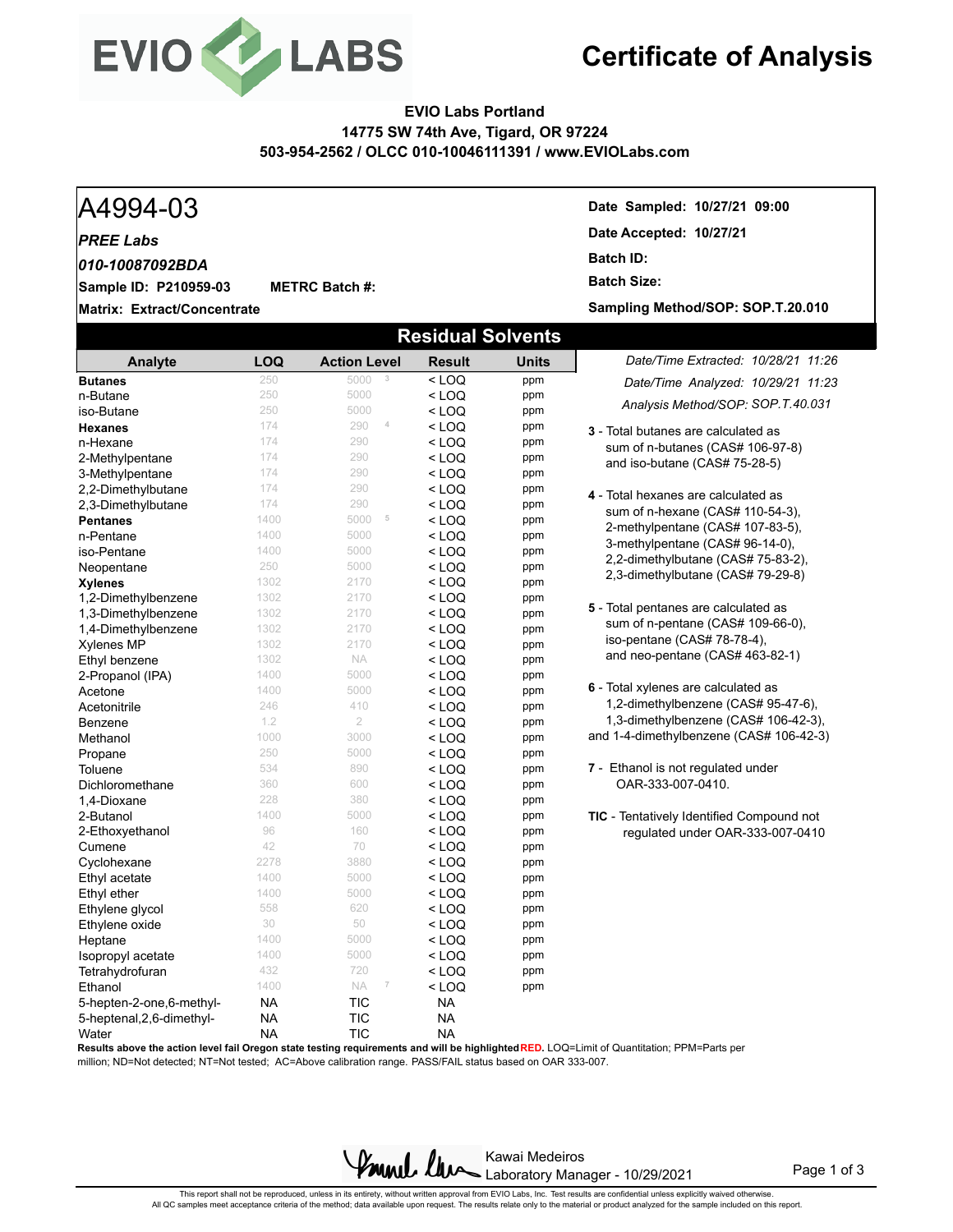

## **Certificate of Analysis**

### **EVIO Labs Portland 14775 SW 74th Ave, Tigard, OR 97224 503-954-2562 / OLCC 010-10046111391 / www.EVIOLabs.com**

### A4994-03 **Date Sampled: 10/27/21 09:00 Matrix: Extract/Concentrate Date Accepted: 10/27/21 Sample ID: P210959-03** *PREE Labs* **METRC Batch #: Batch ID: Batch Size:**  *010-10087092BDA* **Sampling Method/SOP: SOP.T.20.010 Residual Solvents** *Date/Time Extracted: 10/28/21 11:26 Date/Time Analyzed: 10/29/21 11:23* **Analyte LOQ Action Level Result Units Butanes** 250 5000 **3** < LOQ ppm

**3** - Total butanes are calculated as sum of n-butanes (CAS# 106-97-8) and iso-butane (CAS# 75-28-5) **4** - Total hexanes are calculated as sum of n-hexane (CAS# 110-54-3), 2-methylpentane (CAS# 107-83-5), 3-methylpentane (CAS# 96-14-0), 2,2-dimethylbutane (CAS# 75-83-2), 2,3-dimethylbutane (CAS# 79-29-8) **5** - Total pentanes are calculated as sum of n-pentane (CAS# 109-66-0), iso-pentane (CAS# 78-78-4), and neo-pentane (CAS# 463-82-1) **6** - Total xylenes are calculated as 1,2-dimethylbenzene (CAS# 95-47-6), 1,3-dimethylbenzene (CAS# 106-42-3), and 1-4-dimethylbenzene (CAS# 106-42-3) **7** - Ethanol is not regulated under OAR-333-007-0410. **TIC** - Tentatively Identified Compound not regulated under OAR-333-007-0410 *Analysis Method/SOP: SOP.T.40.031* **n-Butane** 250  $250$  5000  $\leq$  **LOQ** ppm iso-Butane 250 250 5000 < LOQ ppm **Hexanes** 174 290 **4 < LOQ** ppm **n-Hexane 174**  $174$  290  $\leq$  **LOQ** ppm<br> **2-Methylpentane** 174 290  $\leq$  **LOQ** ppm 2-Methylpentane 174 290 < LOQ ppm 3-Methylpentane  $174$  290  $\leq$  LOQ ppm<br>2.2-Dimethylbutane  $174$  290  $\leq$  LOQ ppm 2,2-Dimethylbutane  $174$   $290$  < LOQ ppm<br>2.3-Dimethylbutane  $174$   $290$  < LOO ppm 2,3-Dimethylbutane 174 290 < LOQ ppm **Pentanes** 1400 5000 **5 < LOQ ppm**<br>
1400 5000 < LOQ ppm **n-Pentane** 1400  $1400$  5000  $\leq$  LOQ ppm iso-Pentane 1400 5000 < LOQ ppm **Neopentane 250 5000 < LOQ ppm<br>
Xvienes** 1302 2170 < LOQ ppm **Xylenes** 1302 2170 < LOQ ppm 1,2-Dimethylbenzene 1302 2170 < LOQ ppm **1,3-Dimethylbenzene** 1302 2170 < LOQ ppm<br> **1.4-Dimethylbenzene** 1302 2170 < LOQ ppm 1,4-Dimethylbenzene 1302 2170 < LOQ ppm **Xylenes MP** 1302 2170 < LOQ ppm **Ethyl benzene** 1302 NA < **LOQ** ppm<br>2-Propanol (IPA) 1400 5000 < LOQ ppm **2-Propanol (IPA)** 1400 5000 < LOQ ppm<br>**Acetone** 1400 5000 < LOQ ppm **Acetone 1400** 5000 **< LOQ ppm** Acetonitrile 246 410 < LOQ ppm **Benzene** 1.2 2 < **LOQ** ppm Methanol 1000 3000 < LOQ ppm<br>Propane 250 5000 < LOQ ppm **Propane** 250  $250$  5000  $\leq$  **LOQ** ppm Toluene  $534$   $890$   $\leq$  LOQ ppm Dichloromethane 360 600 < LOQ ppm 1,4-Dioxane 228 380 < LOQ ppm **2-Butanol 1400** 1400 5000 **< LOQ ppm** 2-Ethoxyethanol 96 96 160 < LOQ ppm **Cumene**  $42$   $70$   $\leq$  **LOQ** ppm Cyclohexane 2278 3880 < LOQ ppm Ethyl acetate 1400 5000 < LOQ ppm Ethyl ether the thermulation of the top of the top of the top of the top of the top of the top of the top of t<br>
Ethylene alvcol the top of the top of the top of the top of the top of the top of the top of the top of the t<br> Ethylene glycol  $558$  620 < LOQ ppm<br>Ethylene oxide 30 50 < LOQ ppm Ethylene oxide 30 50 < LOQ ppm  $\text{Heptane}$  1400 5000  $\text{LOQ}$  ppm **Isopropyl acetate** 1400 5000 < LOQ ppm<br> **Tetrahydrofuran** 1432 720 < LOQ ppm Tetrahydrofuran 432 720 < LOQ ppm **Ethanol** 1400 NA **7** < LOQ ppm 5-hepten-2-one,6-methyl- NA TIC NA 5-heptenal,2,6-dimethyl- NA TIC NA Water **NA TIC** NA

**Results above the action level fail Oregon state testing requirements and will be highlighted RED.** LOQ=Limit of Quantitation; PPM=Parts per

million; ND=Not detected; NT=Not tested; AC=Above calibration range. PASS/FAIL status based on OAR 333-007.

Kawai Medeiros Laboratory Manager - 10/29/2021

Page 1 of 3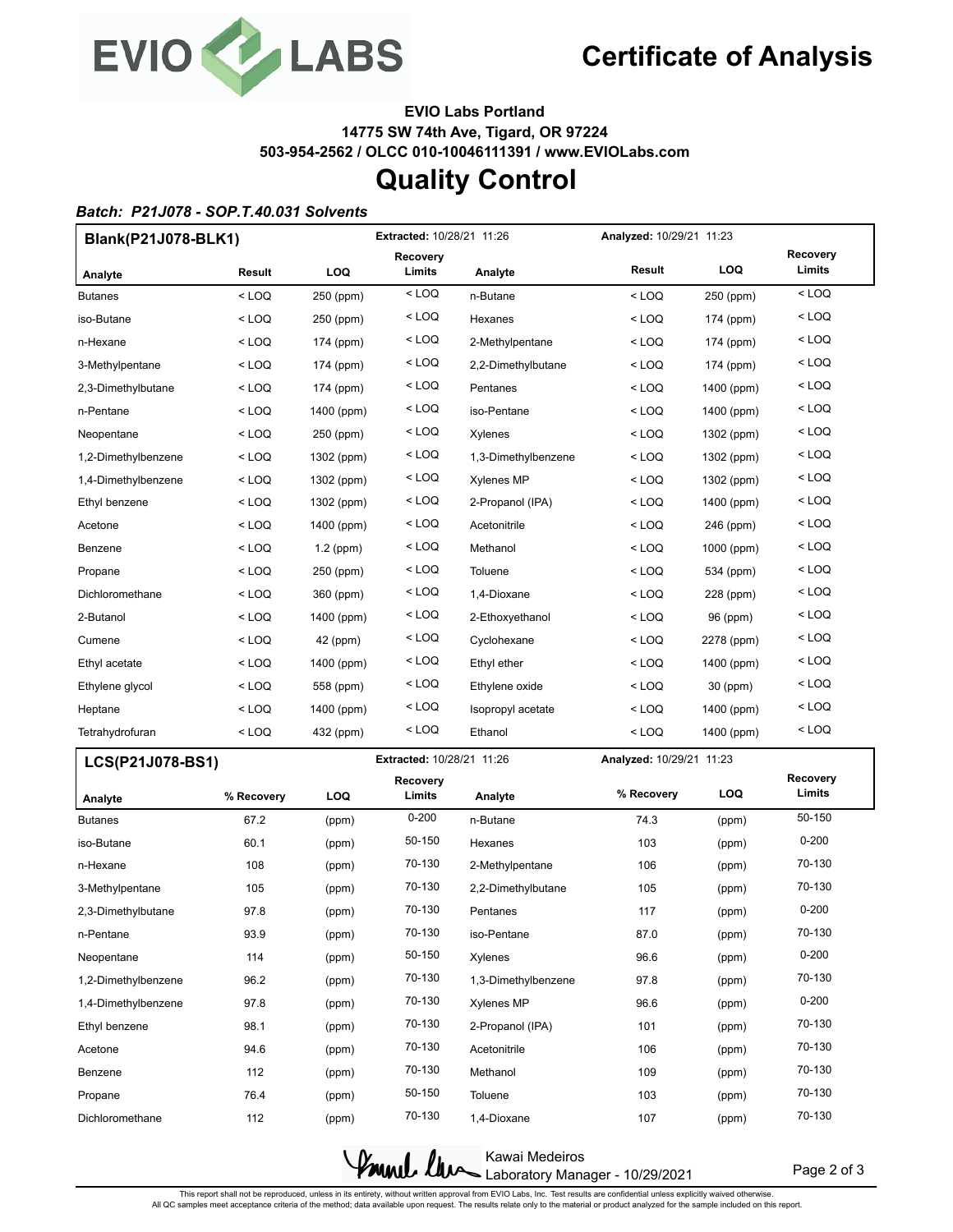

**EVIO Labs Portland 14775 SW 74th Ave, Tigard, OR 97224 503-954-2562 / OLCC 010-10046111391 / www.EVIOLabs.com**

## **Quality Control**

### *Batch: P21J078 - SOP.T.40.031 Solvents*

|                     | Blank(P21J078-BLK1) |             | <b>Extracted: 10/28/21 11:26</b> |                     |                          | Analyzed: 10/29/21 11:23 |                    |  |
|---------------------|---------------------|-------------|----------------------------------|---------------------|--------------------------|--------------------------|--------------------|--|
| Analyte             | Result              | LOQ         | Recovery<br>Limits               | Analyte             | Result                   | <b>LOQ</b>               | Recovery<br>Limits |  |
| <b>Butanes</b>      | $<$ LOQ             | 250 (ppm)   | $<$ LOQ                          | n-Butane            | $<$ LOQ                  | 250 (ppm)                | $<$ LOQ            |  |
| iso-Butane          | < LOQ               | 250 (ppm)   | $<$ LOQ                          | Hexanes             | < LOQ                    | 174 (ppm)                | $<$ LOQ            |  |
| n-Hexane            | $<$ LOQ             | 174 (ppm)   | < LOQ                            | 2-Methylpentane     | < LOQ                    | 174 (ppm)                | < LOQ              |  |
| 3-Methylpentane     | < LOQ               | 174 (ppm)   | $<$ LOQ                          | 2,2-Dimethylbutane  | < LOQ                    | 174 (ppm)                | $<$ LOQ            |  |
| 2,3-Dimethylbutane  | $<$ LOQ             | 174 (ppm)   | $<$ LOQ                          | Pentanes            | $<$ LOQ                  | 1400 (ppm)               | $<$ LOQ            |  |
| n-Pentane           | < LOQ               | 1400 (ppm)  | $<$ LOQ                          | iso-Pentane         | < LOQ                    | 1400 (ppm)               | $<$ LOQ            |  |
| Neopentane          | < LOQ               | 250 (ppm)   | < LOQ                            | Xylenes             | $<$ LOQ                  | 1302 (ppm)               | $<$ LOQ            |  |
| 1,2-Dimethylbenzene | $<$ LOQ             | 1302 (ppm)  | < LOQ                            | 1,3-Dimethylbenzene | < LOQ                    | 1302 (ppm)               | < LOQ              |  |
| 1,4-Dimethylbenzene | $<$ LOQ             | 1302 (ppm)  | < LOQ                            | <b>Xylenes MP</b>   | < LOQ                    | 1302 (ppm)               | < LOQ              |  |
| Ethyl benzene       | $<$ LOQ             | 1302 (ppm)  | $<$ LOQ                          | 2-Propanol (IPA)    | $<$ LOQ                  | 1400 (ppm)               | $<$ LOQ            |  |
| Acetone             | < LOQ               | 1400 (ppm)  | $<$ LOQ                          | Acetonitrile        | < LOQ                    | 246 (ppm)                | $<$ LOQ            |  |
| Benzene             | $<$ LOQ             | $1.2$ (ppm) | < LOQ                            | Methanol            | < LOQ                    | 1000 (ppm)               | < LOQ              |  |
| Propane             | < LOQ               | 250 (ppm)   | $<$ LOQ                          | Toluene             | < LOQ                    | 534 (ppm)                | $<$ LOQ            |  |
| Dichloromethane     | $<$ LOQ             | 360 (ppm)   | < LOQ                            | 1,4-Dioxane         | < LOQ                    | 228 (ppm)                | $<$ LOQ            |  |
| 2-Butanol           | < LOQ               | 1400 (ppm)  | $<$ LOQ                          | 2-Ethoxyethanol     | < LOQ                    | 96 (ppm)                 | $<$ LOQ            |  |
| Cumene              | $<$ LOQ             | 42 (ppm)    | $<$ LOQ                          | Cyclohexane         | < LOQ                    | 2278 (ppm)               | $<$ LOQ            |  |
| Ethyl acetate       | < LOQ               | 1400 (ppm)  | < LOQ                            | Ethyl ether         | < LOQ                    | 1400 (ppm)               | $<$ LOQ            |  |
| Ethylene glycol     | < LOQ               | 558 (ppm)   | < LOQ                            | Ethylene oxide      | < LOQ                    | 30 (ppm)                 | < LOQ              |  |
| Heptane             | $<$ LOQ             | 1400 (ppm)  | < LOQ                            | Isopropyl acetate   | < LOQ                    | 1400 (ppm)               | $<$ LOQ            |  |
| Tetrahydrofuran     | < LOQ               | 432 (ppm)   | < LOQ                            | Ethanol             | < LOQ                    | 1400 (ppm)               | < LOQ              |  |
| LCS(P21J078-BS1)    |                     |             | Extracted: 10/28/21 11:26        |                     | Analyzed: 10/29/21 11:23 |                          |                    |  |
| Analyte             | % Recovery          | LOQ         | Recovery<br>Limits               | Analyte             | % Recovery               | <b>LOQ</b>               | Recovery<br>Limits |  |
| <b>Butanes</b>      | 67.2                | (ppm)       | $0 - 200$                        | n-Butane            | 74.3                     | (ppm)                    | 50-150             |  |
| iso-Butane          | 60.1                | (ppm)       | 50-150                           | Hexanes             | 103                      | (ppm)                    | $0 - 200$          |  |
| n-Hexane            | 108                 | (ppm)       | 70-130                           | 2-Methylpentane     | 106                      | (ppm)                    | 70-130             |  |
| 3-Methylpentane     | 105                 | (ppm)       | 70-130                           | 2,2-Dimethylbutane  | 105                      | (ppm)                    | 70-130             |  |
| 2,3-Dimethylbutane  | 97.8                | (ppm)       | 70-130                           | Pentanes            | 117                      | (ppm)                    | $0 - 200$          |  |
| n-Pentane           | 93.9                | (ppm)       | 70-130                           | iso-Pentane         | 87.0                     | (ppm)                    | 70-130             |  |
| Neopentane          | 114                 | (ppm)       | 50-150                           | Xylenes             | 96.6                     | (ppm)                    | $0 - 200$          |  |
| 1,2-Dimethylbenzene | 96.2                | (ppm)       | 70-130                           | 1,3-Dimethylbenzene | 97.8                     | (ppm)                    | 70-130             |  |
| 1,4-Dimethylbenzene | 97.8                | (ppm)       | 70-130                           | <b>Xylenes MP</b>   | 96.6                     | (ppm)                    | $0 - 200$          |  |
| Ethyl benzene       | 98.1                | (ppm)       | 70-130                           | 2-Propanol (IPA)    | 101                      | (ppm)                    | 70-130             |  |
| Acetone             | 94.6                | (ppm)       | 70-130                           | Acetonitrile        | 106                      | (ppm)                    | 70-130             |  |
| Benzene             | 112                 | (ppm)       | 70-130                           | Methanol            | 109                      | (ppm)                    | 70-130             |  |
| Propane             | 76.4                | (ppm)       | 50-150                           | Toluene             | 103                      | (ppm)                    | 70-130             |  |

Kawai Medeiros Kamel lew Laboratory Manager - 10/29/2021

Page 2 of 3

This report shall not be reproduced, unless in its entirety, without written approval from EVIO Labs, Inc. Test results are confidential unless explicitly waived otherwise.<br>All QC samples meet acceptance criteria of the me

Dichloromethane 112 (ppm) 70-130 1,4-Dioxane 107 (ppm) 70-130